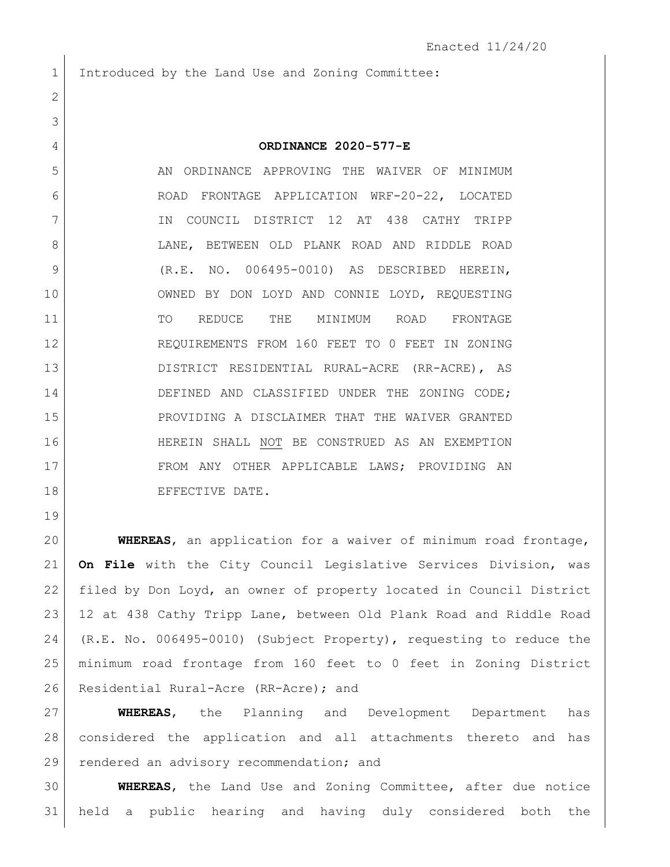Introduced by the Land Use and Zoning Committee:

5 AN ORDINANCE APPROVING THE WAIVER OF MINIMUM ROAD FRONTAGE APPLICATION WRF-20-22, LOCATED IN COUNCIL DISTRICT 12 AT 438 CATHY TRIPP LANE, BETWEEN OLD PLANK ROAD AND RIDDLE ROAD (R.E. NO. 006495-0010) AS DESCRIBED HEREIN, OWNED BY DON LOYD AND CONNIE LOYD, REQUESTING TO REDUCE THE MINIMUM ROAD FRONTAGE REQUIREMENTS FROM 160 FEET TO 0 FEET IN ZONING DISTRICT RESIDENTIAL RURAL-ACRE (RR-ACRE), AS 14 DEFINED AND CLASSIFIED UNDER THE ZONING CODE; PROVIDING A DISCLAIMER THAT THE WAIVER GRANTED HEREIN SHALL NOT BE CONSTRUED AS AN EXEMPTION FROM ANY OTHER APPLICABLE LAWS; PROVIDING AN 18 EFFECTIVE DATE.

 **WHEREAS**, an application for a waiver of minimum road frontage, **On File** with the City Council Legislative Services Division, was filed by Don Loyd, an owner of property located in Council District 12 at 438 Cathy Tripp Lane, between Old Plank Road and Riddle Road (R.E. No. 006495-0010) (Subject Property), requesting to reduce the minimum road frontage from 160 feet to 0 feet in Zoning District 26 Residential Rural-Acre (RR-Acre); and

 **WHEREAS**, the Planning and Development Department has considered the application and all attachments thereto and has 29 rendered an advisory recommendation; and

 **WHEREAS**, the Land Use and Zoning Committee, after due notice held a public hearing and having duly considered both the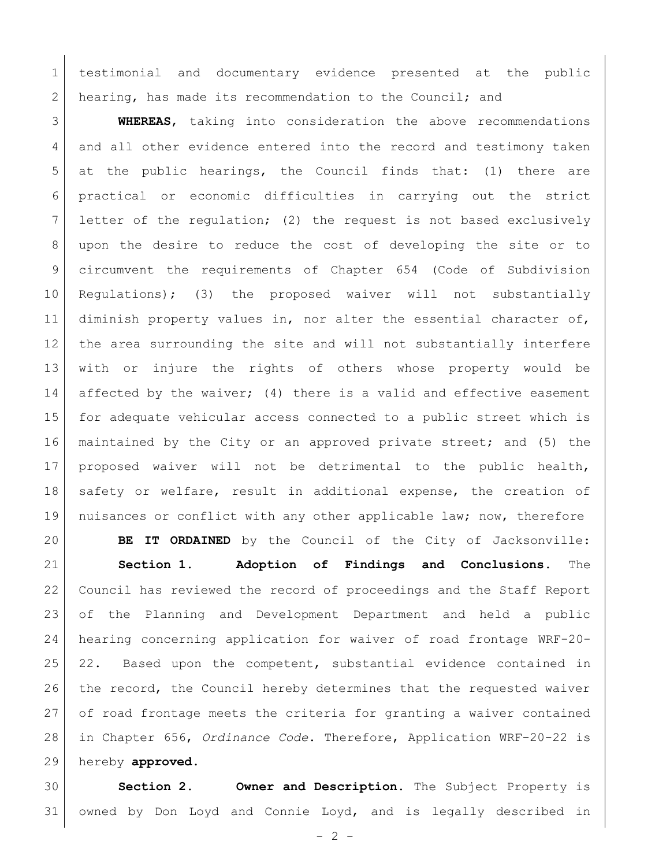testimonial and documentary evidence presented at the public 2 hearing, has made its recommendation to the Council; and

 **WHEREAS**, taking into consideration the above recommendations and all other evidence entered into the record and testimony taken at the public hearings, the Council finds that: (1) there are practical or economic difficulties in carrying out the strict letter of the regulation; (2) the request is not based exclusively upon the desire to reduce the cost of developing the site or to circumvent the requirements of Chapter 654 (Code of Subdivision Regulations); (3) the proposed waiver will not substantially 11 diminish property values in, nor alter the essential character of, the area surrounding the site and will not substantially interfere with or injure the rights of others whose property would be 14 affected by the waiver; (4) there is a valid and effective easement for adequate vehicular access connected to a public street which is maintained by the City or an approved private street; and (5) the proposed waiver will not be detrimental to the public health, 18 safety or welfare, result in additional expense, the creation of 19 | nuisances or conflict with any other applicable law; now, therefore

 **BE IT ORDAINED** by the Council of the City of Jacksonville: **Section 1. Adoption of Findings and Conclusions.** The Council has reviewed the record of proceedings and the Staff Report of the Planning and Development Department and held a public hearing concerning application for waiver of road frontage WRF-20- 22. Based upon the competent, substantial evidence contained in 26 the record, the Council hereby determines that the requested waiver of road frontage meets the criteria for granting a waiver contained in Chapter 656, *Ordinance Code*. Therefore, Application WRF-20-22 is hereby **approved**.

 **Section 2. Owner and Description.** The Subject Property is owned by Don Loyd and Connie Loyd, and is legally described in

 $- 2 -$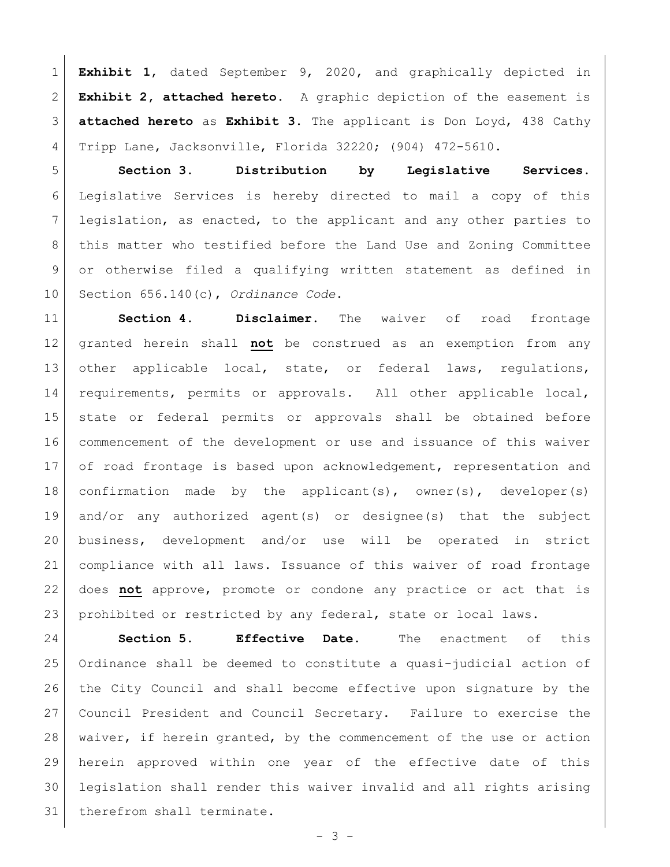**Exhibit 1**, dated September 9, 2020, and graphically depicted in **Exhibit 2, attached hereto**. A graphic depiction of the easement is **attached hereto** as **Exhibit 3**. The applicant is Don Loyd, 438 Cathy Tripp Lane, Jacksonville, Florida 32220; (904) 472-5610.

 **Section 3. Distribution by Legislative Services.**  Legislative Services is hereby directed to mail a copy of this legislation, as enacted, to the applicant and any other parties to this matter who testified before the Land Use and Zoning Committee or otherwise filed a qualifying written statement as defined in Section 656.140(c), *Ordinance Code*.

 **Section 4. Disclaimer.** The waiver of road frontage granted herein shall **not** be construed as an exemption from any 13 other applicable local, state, or federal laws, regulations, requirements, permits or approvals. All other applicable local, state or federal permits or approvals shall be obtained before commencement of the development or use and issuance of this waiver 17 of road frontage is based upon acknowledgement, representation and confirmation made by the applicant(s), owner(s), developer(s) and/or any authorized agent(s) or designee(s) that the subject business, development and/or use will be operated in strict compliance with all laws. Issuance of this waiver of road frontage does **not** approve, promote or condone any practice or act that is prohibited or restricted by any federal, state or local laws.

 **Section 5. Effective Date.** The enactment of this Ordinance shall be deemed to constitute a quasi-judicial action of the City Council and shall become effective upon signature by the Council President and Council Secretary. Failure to exercise the waiver, if herein granted, by the commencement of the use or action herein approved within one year of the effective date of this legislation shall render this waiver invalid and all rights arising 31 therefrom shall terminate.

- 3 -